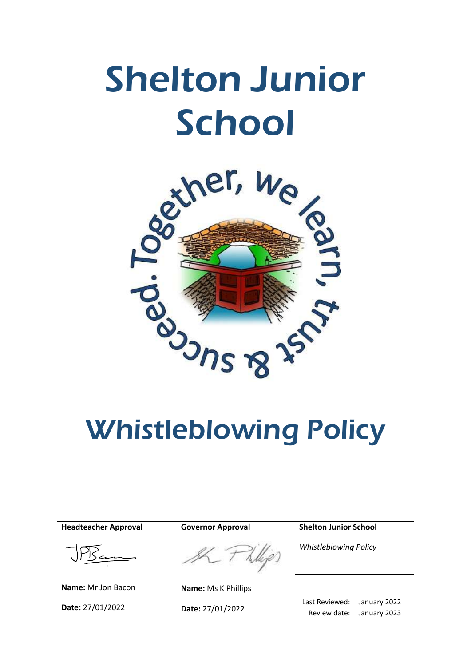# Shelton Junior School



| <b>Headteacher Approval</b> | <b>Governor Approval</b>   | <b>Shelton Junior School</b>                                   |
|-----------------------------|----------------------------|----------------------------------------------------------------|
|                             |                            | <b>Whistleblowing Policy</b>                                   |
| <b>Name:</b> Mr Jon Bacon   | <b>Name: Ms K Phillips</b> |                                                                |
| Date: 27/01/2022            | Date: 27/01/2022           | Last Reviewed:<br>January 2022<br>Review date:<br>January 2023 |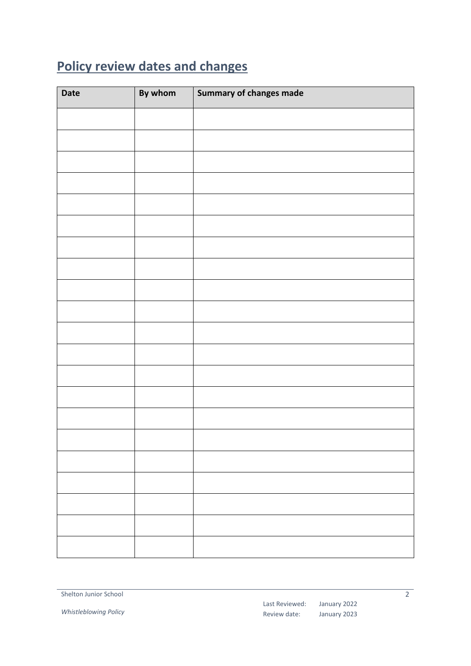## <span id="page-1-0"></span>**Policy review dates and changes**

| <b>Date</b> | By whom | Summary of changes made |
|-------------|---------|-------------------------|
|             |         |                         |
|             |         |                         |
|             |         |                         |
|             |         |                         |
|             |         |                         |
|             |         |                         |
|             |         |                         |
|             |         |                         |
|             |         |                         |
|             |         |                         |
|             |         |                         |
|             |         |                         |
|             |         |                         |
|             |         |                         |
|             |         |                         |
|             |         |                         |
|             |         |                         |
|             |         |                         |
|             |         |                         |
|             |         |                         |
|             |         |                         |

*Whistleblowing Policy*

Last Reviewed: Review date:

January 2022 January 2023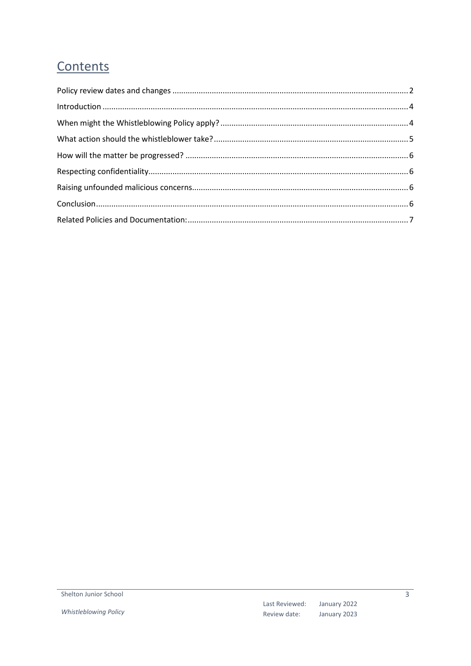### Contents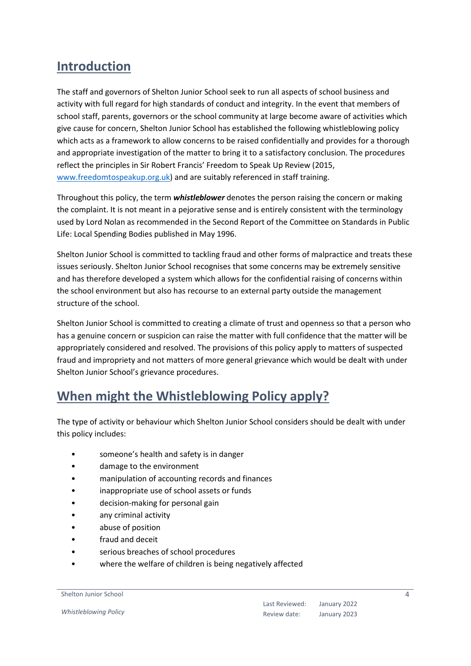#### <span id="page-3-0"></span>**Introduction**

The staff and governors of Shelton Junior School seek to run all aspects of school business and activity with full regard for high standards of conduct and integrity. In the event that members of school staff, parents, governors or the school community at large become aware of activities which give cause for concern, Shelton Junior School has established the following whistleblowing policy which acts as a framework to allow concerns to be raised confidentially and provides for a thorough and appropriate investigation of the matter to bring it to a satisfactory conclusion. The procedures reflect the principles in Sir Robert Francis' Freedom to Speak Up Review (2015, [www.freedomtospeakup.org.uk\)](http://www.freedomtospeakup.org.uk/) and are suitably referenced in staff training.

Throughout this policy, the term *whistleblower* denotes the person raising the concern or making the complaint. It is not meant in a pejorative sense and is entirely consistent with the terminology used by Lord Nolan as recommended in the Second Report of the Committee on Standards in Public Life: Local Spending Bodies published in May 1996.

Shelton Junior School is committed to tackling fraud and other forms of malpractice and treats these issues seriously. Shelton Junior School recognises that some concerns may be extremely sensitive and has therefore developed a system which allows for the confidential raising of concerns within the school environment but also has recourse to an external party outside the management structure of the school.

Shelton Junior School is committed to creating a climate of trust and openness so that a person who has a genuine concern or suspicion can raise the matter with full confidence that the matter will be appropriately considered and resolved. The provisions of this policy apply to matters of suspected fraud and impropriety and not matters of more general grievance which would be dealt with under Shelton Junior School's grievance procedures.

#### <span id="page-3-1"></span>**When might the Whistleblowing Policy apply?**

The type of activity or behaviour which Shelton Junior School considers should be dealt with under this policy includes:

- someone's health and safety is in danger
- damage to the environment
- manipulation of accounting records and finances
- inappropriate use of school assets or funds
- decision-making for personal gain
- any criminal activity
- abuse of position
- fraud and deceit
- serious breaches of school procedures
- where the welfare of children is being negatively affected

Shelton Junior School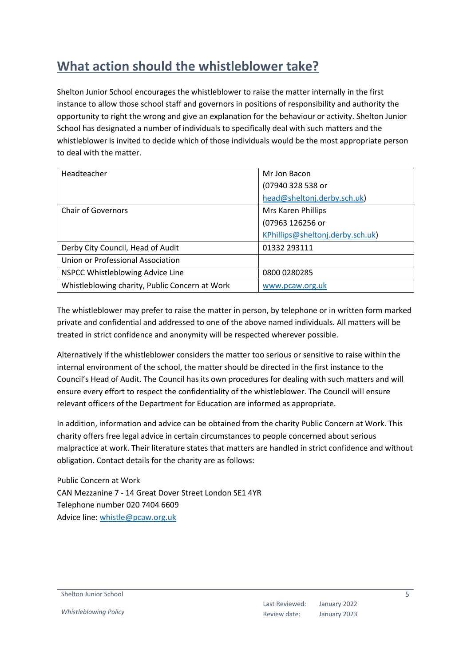#### <span id="page-4-0"></span>**What action should the whistleblower take?**

Shelton Junior School encourages the whistleblower to raise the matter internally in the first instance to allow those school staff and governors in positions of responsibility and authority the opportunity to right the wrong and give an explanation for the behaviour or activity. Shelton Junior School has designated a number of individuals to specifically deal with such matters and the whistleblower is invited to decide which of those individuals would be the most appropriate person to deal with the matter.

| Headteacher                                    | Mr Jon Bacon                     |
|------------------------------------------------|----------------------------------|
|                                                | (07940 328 538 or                |
|                                                | head@sheltonj.derby.sch.uk)      |
| <b>Chair of Governors</b>                      | Mrs Karen Phillips               |
|                                                | (07963 126256 or                 |
|                                                | KPhillips@sheltonj.derby.sch.uk) |
| Derby City Council, Head of Audit              | 01332 293111                     |
| Union or Professional Association              |                                  |
| NSPCC Whistleblowing Advice Line               | 0800 0280285                     |
| Whistleblowing charity, Public Concern at Work | www.pcaw.org.uk                  |

The whistleblower may prefer to raise the matter in person, by telephone or in written form marked private and confidential and addressed to one of the above named individuals. All matters will be treated in strict confidence and anonymity will be respected wherever possible.

Alternatively if the whistleblower considers the matter too serious or sensitive to raise within the internal environment of the school, the matter should be directed in the first instance to the Council's Head of Audit. The Council has its own procedures for dealing with such matters and will ensure every effort to respect the confidentiality of the whistleblower. The Council will ensure relevant officers of the Department for Education are informed as appropriate.

In addition, information and advice can be obtained from the charity Public Concern at Work. This charity offers free legal advice in certain circumstances to people concerned about serious malpractice at work. Their literature states that matters are handled in strict confidence and without obligation. Contact details for the charity are as follows:

Public Concern at Work CAN Mezzanine 7 - 14 Great Dover Street London SE1 4YR Telephone number 020 7404 6609 Advice line: [whistle@pcaw.org.uk](mailto:whistle@pcaw.org.uk)

Shelton Junior School

*Whistleblowing Policy*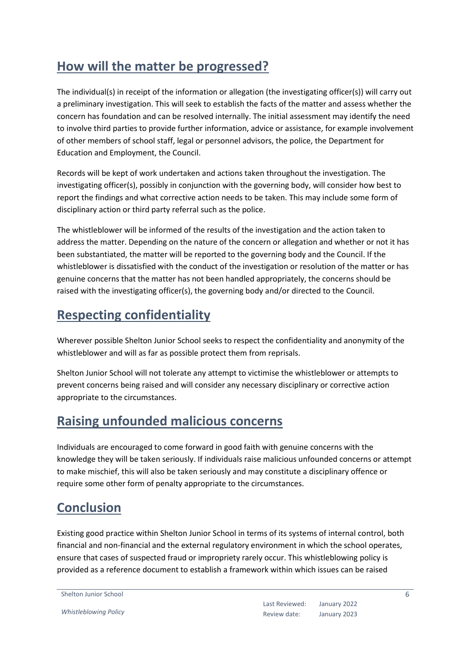#### <span id="page-5-0"></span>**How will the matter be progressed?**

The individual(s) in receipt of the information or allegation (the investigating officer(s)) will carry out a preliminary investigation. This will seek to establish the facts of the matter and assess whether the concern has foundation and can be resolved internally. The initial assessment may identify the need to involve third parties to provide further information, advice or assistance, for example involvement of other members of school staff, legal or personnel advisors, the police, the Department for Education and Employment, the Council.

Records will be kept of work undertaken and actions taken throughout the investigation. The investigating officer(s), possibly in conjunction with the governing body, will consider how best to report the findings and what corrective action needs to be taken. This may include some form of disciplinary action or third party referral such as the police.

The whistleblower will be informed of the results of the investigation and the action taken to address the matter. Depending on the nature of the concern or allegation and whether or not it has been substantiated, the matter will be reported to the governing body and the Council. If the whistleblower is dissatisfied with the conduct of the investigation or resolution of the matter or has genuine concerns that the matter has not been handled appropriately, the concerns should be raised with the investigating officer(s), the governing body and/or directed to the Council.

#### <span id="page-5-1"></span>**Respecting confidentiality**

Wherever possible Shelton Junior School seeks to respect the confidentiality and anonymity of the whistleblower and will as far as possible protect them from reprisals.

Shelton Junior School will not tolerate any attempt to victimise the whistleblower or attempts to prevent concerns being raised and will consider any necessary disciplinary or corrective action appropriate to the circumstances.

#### <span id="page-5-2"></span>**Raising unfounded malicious concerns**

Individuals are encouraged to come forward in good faith with genuine concerns with the knowledge they will be taken seriously. If individuals raise malicious unfounded concerns or attempt to make mischief, this will also be taken seriously and may constitute a disciplinary offence or require some other form of penalty appropriate to the circumstances.

#### <span id="page-5-3"></span>**Conclusion**

Existing good practice within Shelton Junior School in terms of its systems of internal control, both financial and non-financial and the external regulatory environment in which the school operates, ensure that cases of suspected fraud or impropriety rarely occur. This whistleblowing policy is provided as a reference document to establish a framework within which issues can be raised

Shelton Junior School

*Whistleblowing Policy*

6